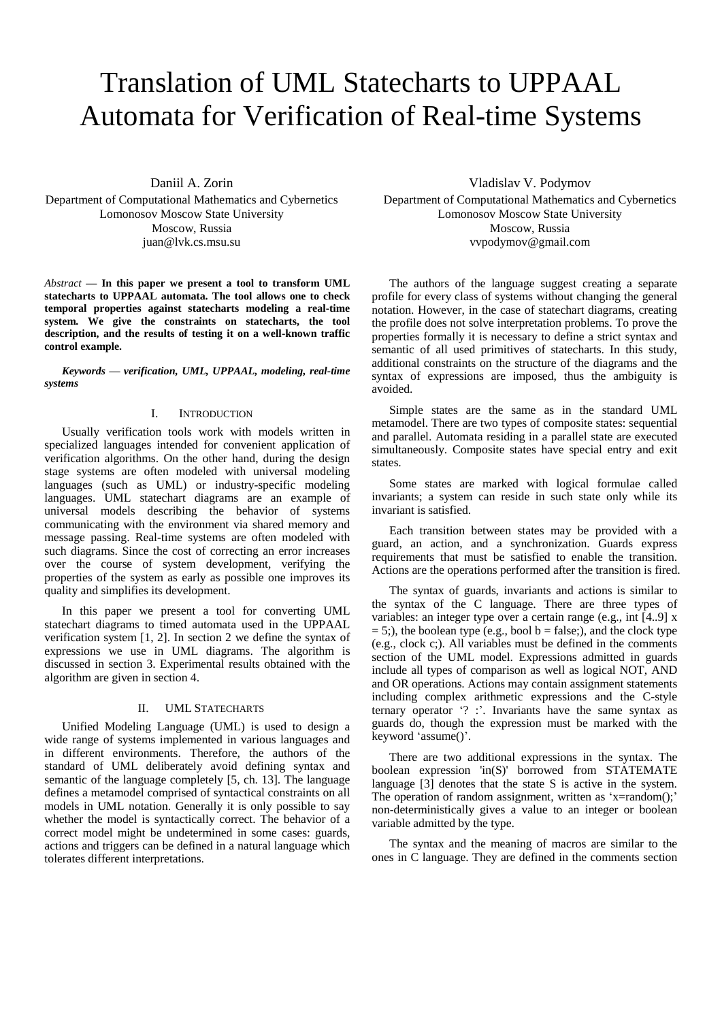# Translation of UML Statecharts to UPPAAL Automata for Verification of Real-time Systems

Daniil A. Zorin Department of Computational Mathematics and Cybernetics Lomonosov Moscow State University Moscow, Russia juan@lvk.cs.msu.su

*Abstract* **— In this paper we present a tool to transform UML statecharts to UPPAAL automata. The tool allows one to check temporal properties against statecharts modeling a real-time system. We give the constraints on statecharts, the tool description, and the results of testing it on a well-known traffic control example.**

*Keywords — verification, UML, UPPAAL, modeling, real-time systems*

### I. INTRODUCTION

Usually verification tools work with models written in specialized languages intended for convenient application of verification algorithms. On the other hand, during the design stage systems are often modeled with universal modeling languages (such as UML) or industry-specific modeling languages. UML statechart diagrams are an example of universal models describing the behavior of systems communicating with the environment via shared memory and message passing. Real-time systems are often modeled with such diagrams. Since the cost of correcting an error increases over the course of system development, verifying the properties of the system as early as possible one improves its quality and simplifies its development.

In this paper we present a tool for converting UML statechart diagrams to timed automata used in the UPPAAL verification system [1, 2]. In section 2 we define the syntax of expressions we use in UML diagrams. The algorithm is discussed in section 3. Experimental results obtained with the algorithm are given in section 4.

# II. UML STATECHARTS

Unified Modeling Language (UML) is used to design a wide range of systems implemented in various languages and in different environments. Therefore, the authors of the standard of UML deliberately avoid defining syntax and semantic of the language completely [5, ch. 13]. The language defines a metamodel comprised of syntactical constraints on all models in UML notation. Generally it is only possible to say whether the model is syntactically correct. The behavior of a correct model might be undetermined in some cases: guards, actions and triggers can be defined in a natural language which tolerates different interpretations.

Vladislav V. Podymov

Department of Computational Mathematics and Cybernetics Lomonosov Moscow State University Moscow, Russia vvpodymov@gmail.com

The authors of the language suggest creating a separate profile for every class of systems without changing the general notation. However, in the case of statechart diagrams, creating the profile does not solve interpretation problems. To prove the properties formally it is necessary to define a strict syntax and semantic of all used primitives of statecharts. In this study, additional constraints on the structure of the diagrams and the syntax of expressions are imposed, thus the ambiguity is avoided.

Simple states are the same as in the standard UML metamodel. There are two types of composite states: sequential and parallel. Automata residing in a parallel state are executed simultaneously. Composite states have special entry and exit states.

Some states are marked with logical formulae called invariants; a system can reside in such state only while its invariant is satisfied.

Each transition between states may be provided with a guard, an action, and a synchronization. Guards express requirements that must be satisfied to enable the transition. Actions are the operations performed after the transition is fired.

The syntax of guards, invariants and actions is similar to the syntax of the C language. There are three types of variables: an integer type over a certain range (e.g., int [4..9] x  $= 5$ ;), the boolean type (e.g., bool b = false;), and the clock type (e.g., clock c;). All variables must be defined in the comments section of the UML model. Expressions admitted in guards include all types of comparison as well as logical NOT, AND and OR operations. Actions may contain assignment statements including complex arithmetic expressions and the C-style ternary operator '? :'. Invariants have the same syntax as guards do, though the expression must be marked with the keyword 'assume()'.

There are two additional expressions in the syntax. The boolean expression 'in(S)' borrowed from STATEMATE language  $\begin{bmatrix} 3 \end{bmatrix}$  denotes that the state S is active in the system. The operation of random assignment, written as 'x=random();' non-deterministically gives a value to an integer or boolean variable admitted by the type.

The syntax and the meaning of macros are similar to the ones in C language. They are defined in the comments section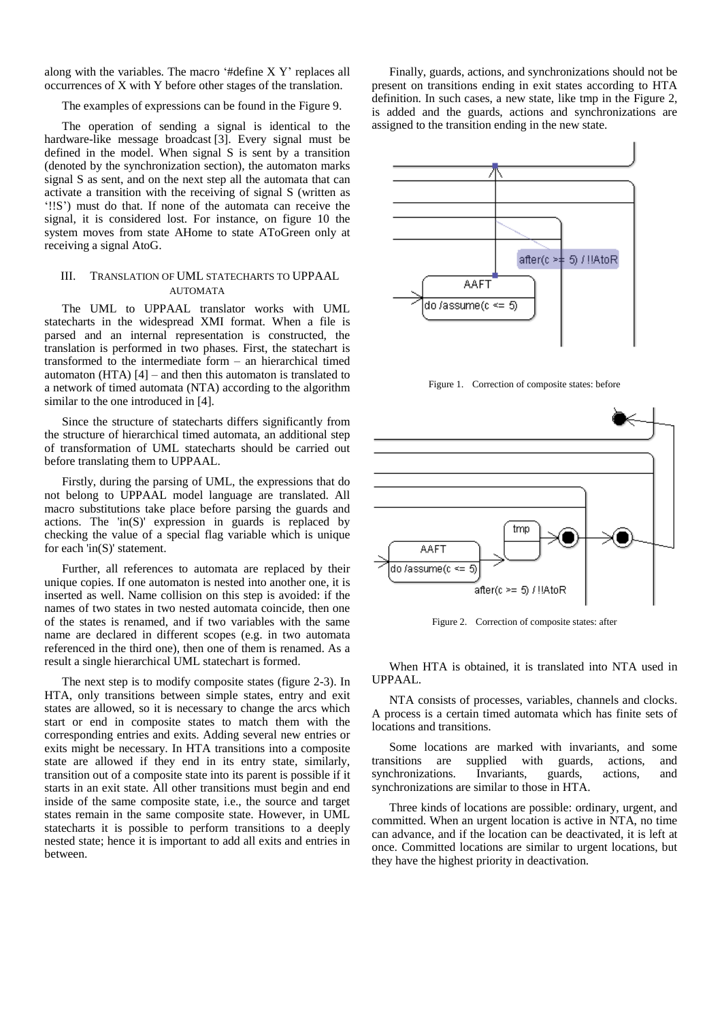along with the variables. The macro '#define X Y' replaces all occurrences of X with Y before other stages of the translation.

The examples of expressions can be found in the Figure 9.

The operation of sending a signal is identical to the hardware-like message broadcast [3]. Every signal must be defined in the model. When signal S is sent by a transition (denoted by the synchronization section), the automaton marks signal S as sent, and on the next step all the automata that can activate a transition with the receiving of signal S (written as '!!S') must do that. If none of the automata can receive the signal, it is considered lost. For instance, on figure 10 the system moves from state AHome to state AToGreen only at receiving a signal AtoG.

# III. TRANSLATION OF UML STATECHARTS TO UPPAAL **AUTOMATA**

The UML to UPPAAL translator works with UML statecharts in the widespread XMI format. When a file is parsed and an internal representation is constructed, the translation is performed in two phases. First, the statechart is transformed to the intermediate form – an hierarchical timed automaton (HTA)  $[4]$  – and then this automaton is translated to a network of timed automata (NTA) according to the algorithm similar to the one introduced in [4].

Since the structure of statecharts differs significantly from the structure of hierarchical timed automata, an additional step of transformation of UML statecharts should be carried out before translating them to UPPAAL.

Firstly, during the parsing of UML, the expressions that do not belong to UPPAAL model language are translated. All macro substitutions take place before parsing the guards and actions. The 'in(S)' expression in guards is replaced by checking the value of a special flag variable which is unique for each 'in(S)' statement.

Further, all references to automata are replaced by their unique copies. If one automaton is nested into another one, it is inserted as well. Name collision on this step is avoided: if the names of two states in two nested automata coincide, then one of the states is renamed, and if two variables with the same name are declared in different scopes (e.g. in two automata referenced in the third one), then one of them is renamed. As a result a single hierarchical UML statechart is formed.

The next step is to modify composite states (figure 2-3). In HTA, only transitions between simple states, entry and exit states are allowed, so it is necessary to change the arcs which start or end in composite states to match them with the corresponding entries and exits. Adding several new entries or exits might be necessary. In HTA transitions into a composite state are allowed if they end in its entry state, similarly, transition out of a composite state into its parent is possible if it starts in an exit state. All other transitions must begin and end inside of the same composite state, i.e., the source and target states remain in the same composite state. However, in UML statecharts it is possible to perform transitions to a deeply nested state; hence it is important to add all exits and entries in between.

Finally, guards, actions, and synchronizations should not be present on transitions ending in exit states according to HTA definition. In such cases, a new state, like tmp in the Figure 2, is added and the guards, actions and synchronizations are assigned to the transition ending in the new state.



Figure 1. Correction of composite states: before



Figure 2. Correction of composite states: after

When HTA is obtained, it is translated into NTA used in UPPAAL.

NTA consists of processes, variables, channels and clocks. A process is a certain timed automata which has finite sets of locations and transitions.

Some locations are marked with invariants, and some transitions are supplied with guards, actions, and synchronizations. Invariants, guards, actions, and synchronizations are similar to those in HTA.

Three kinds of locations are possible: ordinary, urgent, and committed. When an urgent location is active in NTA, no time can advance, and if the location can be deactivated, it is left at once. Committed locations are similar to urgent locations, but they have the highest priority in deactivation.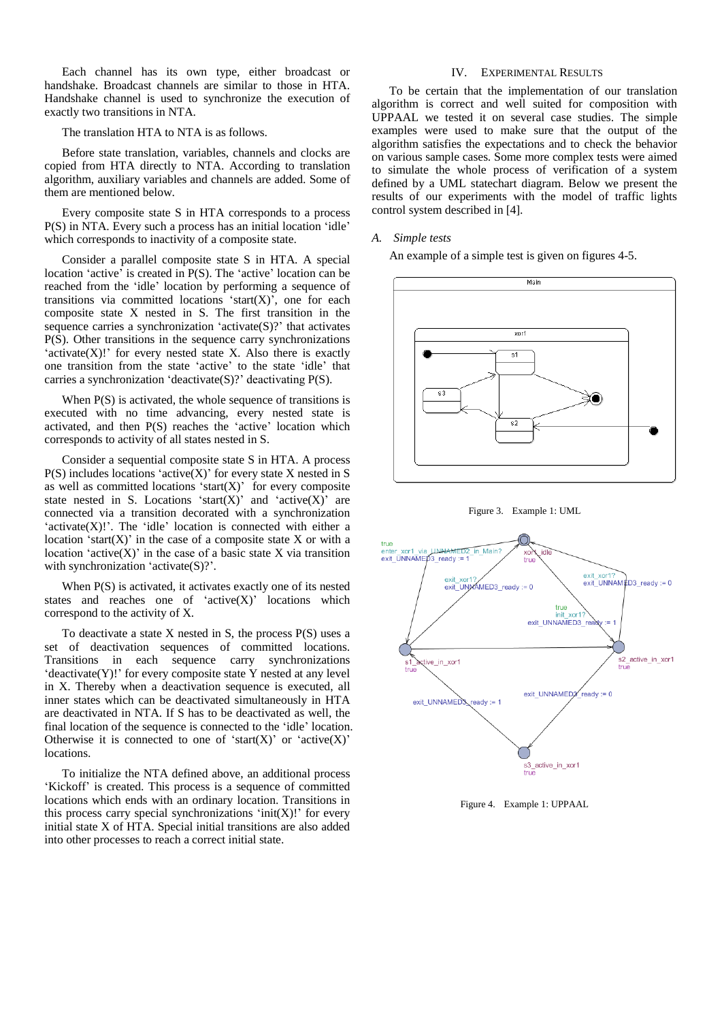Each channel has its own type, either broadcast or handshake. Broadcast channels are similar to those in HTA. Handshake channel is used to synchronize the execution of exactly two transitions in NTA.

The translation HTA to NTA is as follows.

Before state translation, variables, channels and clocks are copied from HTA directly to NTA. According to translation algorithm, auxiliary variables and channels are added. Some of them are mentioned below.

Every composite state S in HTA corresponds to a process P(S) in NTA. Every such a process has an initial location 'idle' which corresponds to inactivity of a composite state.

Consider a parallel composite state S in HTA. A special location 'active' is created in P(S). The 'active' location can be reached from the 'idle' location by performing a sequence of transitions via committed locations 'start $(X)$ ', one for each composite state X nested in S. The first transition in the sequence carries a synchronization 'activate(S)?' that activates P(S). Other transitions in the sequence carry synchronizations  $\text{'active}(X)$ !' for every nested state X. Also there is exactly one transition from the state 'active' to the state 'idle' that carries a synchronization 'deactivate(S)?' deactivating P(S).

When  $P(S)$  is activated, the whole sequence of transitions is executed with no time advancing, every nested state is activated, and then P(S) reaches the 'active' location which corresponds to activity of all states nested in S.

Consider a sequential composite state S in HTA. A process  $P(S)$  includes locations 'active(X)' for every state X nested in S as well as committed locations 'start $(X)$ ' for every composite state nested in S. Locations 'start(X)' and 'active(X)' are connected via a transition decorated with a synchronization  $\text{'active}(X)$ !'. The 'idle' location is connected with either a location 'start $(X)$ ' in the case of a composite state X or with a location 'active $(X)$ ' in the case of a basic state X via transition with synchronization 'activate(S)?'.

When P(S) is activated, it activates exactly one of its nested states and reaches one of ' $active(X)$ ' locations which correspond to the activity of X.

To deactivate a state X nested in S, the process P(S) uses a set of deactivation sequences of committed locations. Transitions in each sequence carry synchronizations  $d$  deactivate $(Y)!$  for every composite state Y nested at any level in X. Thereby when a deactivation sequence is executed, all inner states which can be deactivated simultaneously in HTA are deactivated in NTA. If S has to be deactivated as well, the final location of the sequence is connected to the 'idle' location. Otherwise it is connected to one of 'start $(X)$ ' or 'active $(X)$ ' locations.

To initialize the NTA defined above, an additional process 'Kickoff' is created. This process is a sequence of committed locations which ends with an ordinary location. Transitions in this process carry special synchronizations 'init(X)!' for every initial state X of HTA. Special initial transitions are also added into other processes to reach a correct initial state.

# IV. EXPERIMENTAL RESULTS

To be certain that the implementation of our translation algorithm is correct and well suited for composition with UPPAAL we tested it on several case studies. The simple examples were used to make sure that the output of the algorithm satisfies the expectations and to check the behavior on various sample cases. Some more complex tests were aimed to simulate the whole process of verification of a system defined by a UML statechart diagram. Below we present the results of our experiments with the model of traffic lights control system described in [4].

### *A. Simple tests*

An example of a simple test is given on figures 4-5.







Figure 4. Example 1: UPPAAL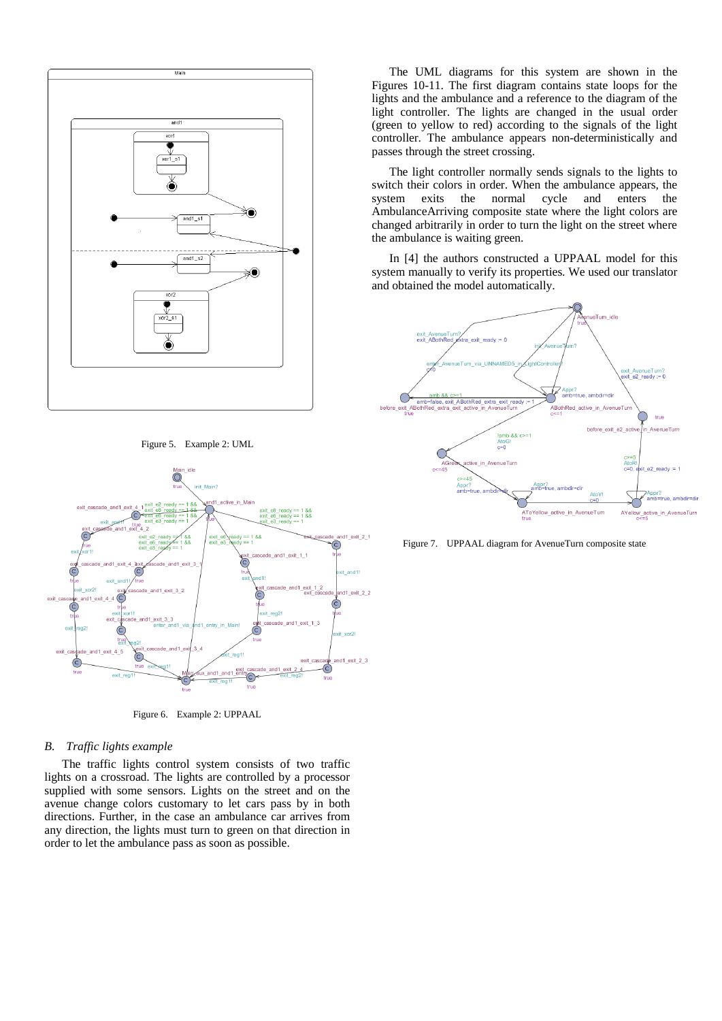

Figure 5. Example 2: UML



Figure 6. Example 2: UPPAAL

### *B. Traffic lights example*

The traffic lights control system consists of two traffic lights on a crossroad. The lights are controlled by a processor supplied with some sensors. Lights on the street and on the avenue change colors customary to let cars pass by in both directions. Further, in the case an ambulance car arrives from any direction, the lights must turn to green on that direction in order to let the ambulance pass as soon as possible.

The UML diagrams for this system are shown in the Figures 10-11. The first diagram contains state loops for the lights and the ambulance and a reference to the diagram of the light controller. The lights are changed in the usual order (green to yellow to red) according to the signals of the light controller. The ambulance appears non-deterministically and passes through the street crossing.

The light controller normally sends signals to the lights to switch their colors in order. When the ambulance appears, the system exits the normal cycle and enters the AmbulanceArriving composite state where the light colors are changed arbitrarily in order to turn the light on the street where the ambulance is waiting green.

In [4] the authors constructed a UPPAAL model for this system manually to verify its properties. We used our translator and obtained the model automatically.



Figure 7. UPPAAL diagram for AvenueTurn composite state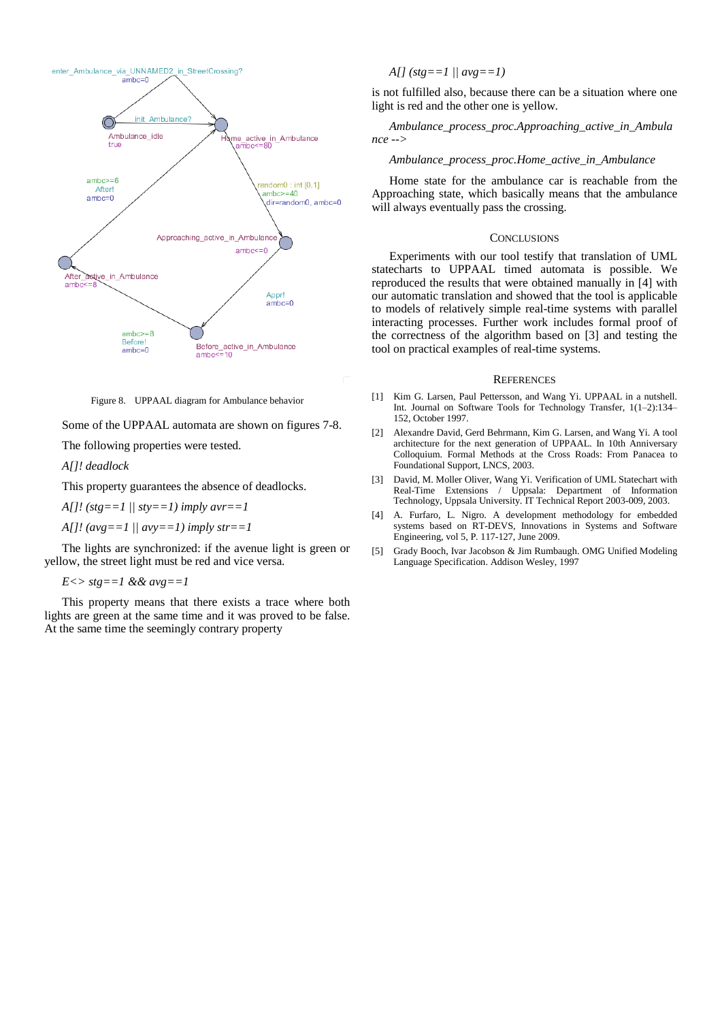

Figure 8. UPPAAL diagram for Ambulance behavior

Some of the UPPAAL automata are shown on figures 7-8.

The following properties were tested.

*A[]! deadlock*

This property guarantees the absence of deadlocks.

*A[]! (stg==1 || sty==1) imply avr==1*

*A[]! (avg==1 || avy==1) imply str==1*

The lights are synchronized: if the avenue light is green or yellow, the street light must be red and vice versa.

 $E \ll$   $\gt$  *stg*==1 && *avg*==1

This property means that there exists a trace where both lights are green at the same time and it was proved to be false. At the same time the seemingly contrary property

*A[] (stg==1 || avg==1)*

is not fulfilled also, because there can be a situation where one light is red and the other one is yellow.

*Ambulance\_process\_proc.Approaching\_active\_in\_Ambula nce -->*

#### *Ambulance\_process\_proc.Home\_active\_in\_Ambulance*

Home state for the ambulance car is reachable from the Approaching state, which basically means that the ambulance will always eventually pass the crossing.

#### **CONCLUSIONS**

Experiments with our tool testify that translation of UML statecharts to UPPAAL timed automata is possible. We reproduced the results that were obtained manually in [4] with our automatic translation and showed that the tool is applicable to models of relatively simple real-time systems with parallel interacting processes. Further work includes formal proof of the correctness of the algorithm based on [3] and testing the tool on practical examples of real-time systems.

#### **REFERENCES**

- [1] Kim G. Larsen, Paul Pettersson, and Wang Yi. UPPAAL in a nutshell. Int. Journal on Software Tools for Technology Transfer, 1(1–2):134– 152, October 1997.
- [2] Alexandre David, Gerd Behrmann, Kim G. Larsen, and Wang Yi. A tool architecture for the next generation of UPPAAL. In 10th Anniversary Colloquium. Formal Methods at the Cross Roads: From Panacea to Foundational Support, LNCS, 2003.
- [3] David, M. Moller Oliver, Wang Yi. Verification of UML Statechart with Real-Time Extensions / Uppsala: Department of Information Technology, Uppsala University. IT Technical Report 2003-009, 2003.
- [4] A. Furfaro, L. Nigro. A development methodology for embedded systems based on RT-DEVS, Innovations in Systems and Software Engineering, vol 5, P. 117-127, June 2009.
- [5] Grady Booch, Ivar Jacobson & Jim Rumbaugh. OMG Unified Modeling Language Specification. Addison Wesley, 1997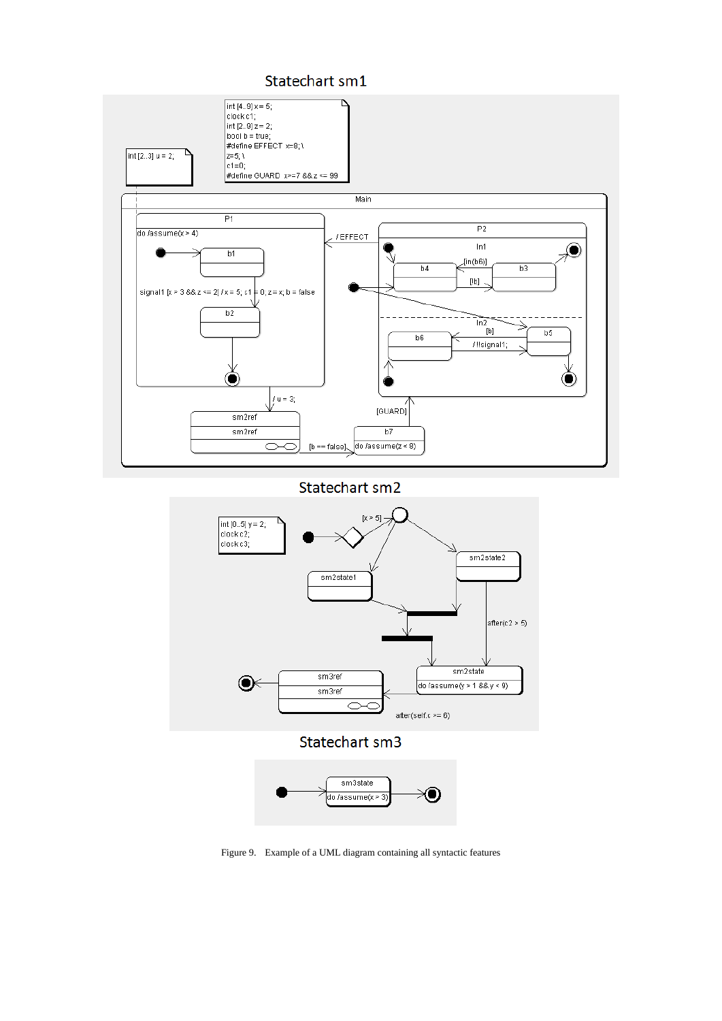



Statechart sm2



Figure 9. Example of a UML diagram containing all syntactic features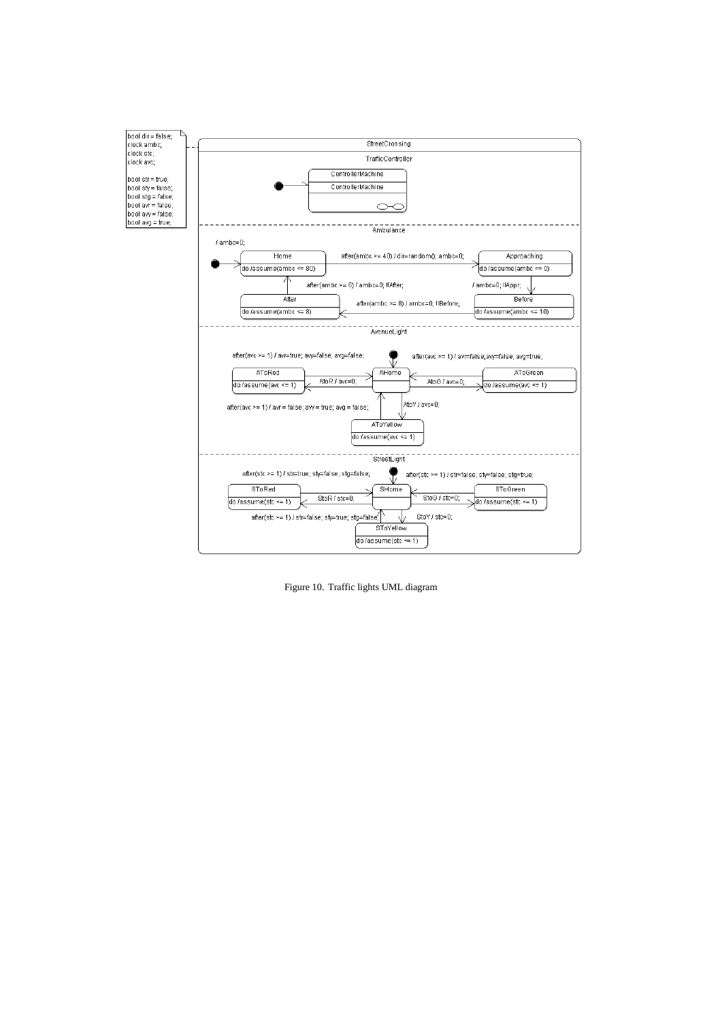

Figure 10. Traffic lights UML diagram